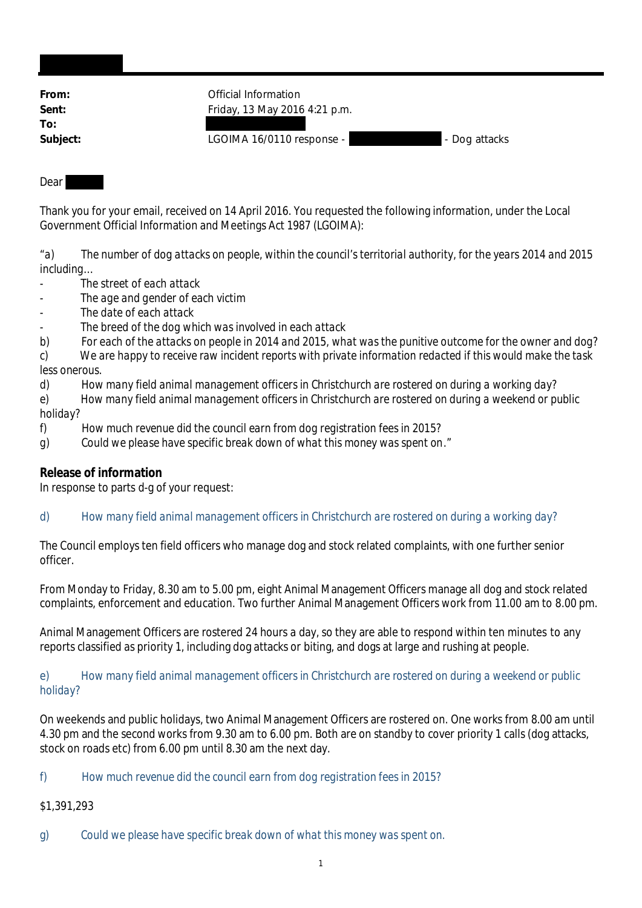| From:    | Official Information          |               |
|----------|-------------------------------|---------------|
| Sent:    | Friday, 13 May 2016 4:21 p.m. |               |
| To:      |                               |               |
| Subject: | LGOIMA 16/0110 response -     | - Dog attacks |

### Dear

Thank you for your email, received on 14 April 2016. You requested the following information, under the Local Government Official Information and Meetings Act 1987 (LGOIMA):

"*a) The number of dog attacks on people, within the council's territorial authority, for the years 2014 and 2015 including…*

- *The street of each attack*
- *The age and gender of each victim*
- *The date of each attack*
- *The breed of the dog which was involved in each attack*
- *b) For each of the attacks on people in 2014 and 2015, what was the punitive outcome for the owner and dog?*
- *c) We are happy to receive raw incident reports with private information redacted if this would make the task less onerous.*
- *d) How many field animal management officers in Christchurch are rostered on during a working day?*
- *e) How many field animal management officers in Christchurch are rostered on during a weekend or public holiday?*
- *f) How much revenue did the council earn from dog registration fees in 2015?*
- *g) Could we please have specific break down of what this money was spent on*."

# **Release of information**

In response to parts d-g of your request:

## d) *How many field animal management officers in Christchurch are rostered on during a working day?*

The Council employs ten field officers who manage dog and stock related complaints, with one further senior officer.

From Monday to Friday, 8.30 am to 5.00 pm, eight Animal Management Officers manage all dog and stock related complaints, enforcement and education. Two further Animal Management Officers work from 11.00 am to 8.00 pm.

Animal Management Officers are rostered 24 hours a day, so they are able to respond within ten minutes to any reports classified as priority 1, including dog attacks or biting, and dogs at large and rushing at people.

#### e) *How many field animal management officers in Christchurch are rostered on during a weekend or public holiday?*

On weekends and public holidays, two Animal Management Officers are rostered on. One works from 8.00 am until 4.30 pm and the second works from 9.30 am to 6.00 pm. Both are on standby to cover priority 1 calls (dog attacks, stock on roads etc) from 6.00 pm until 8.30 am the next day.

## f) *How much revenue did the council earn from dog registration fees in 2015?*

# \$1,391,293

g) *Could we please have specific break down of what this money was spent on.*